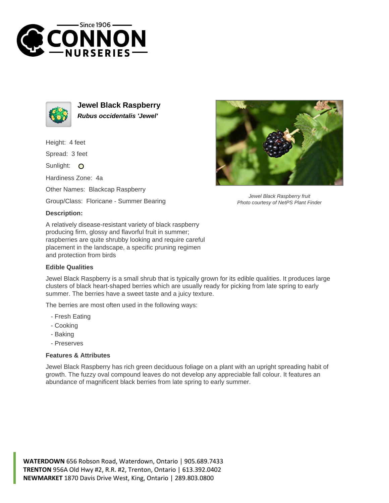



**Jewel Black Raspberry Rubus occidentalis 'Jewel'**

Height: 4 feet

Spread: 3 feet

Sunlight: O

Hardiness Zone: 4a

Other Names: Blackcap Raspberry

Group/Class: Floricane - Summer Bearing

## **Description:**

A relatively disease-resistant variety of black raspberry producing firm, glossy and flavorful fruit in summer; raspberries are quite shrubby looking and require careful placement in the landscape, a specific pruning regimen and protection from birds

## **Edible Qualities**

Jewel Black Raspberry is a small shrub that is typically grown for its edible qualities. It produces large clusters of black heart-shaped berries which are usually ready for picking from late spring to early summer. The berries have a sweet taste and a juicy texture.

The berries are most often used in the following ways:

- Fresh Eating
- Cooking
- Baking
- Preserves

## **Features & Attributes**

Jewel Black Raspberry has rich green deciduous foliage on a plant with an upright spreading habit of growth. The fuzzy oval compound leaves do not develop any appreciable fall colour. It features an abundance of magnificent black berries from late spring to early summer.





Jewel Black Raspberry fruit Photo courtesy of NetPS Plant Finder